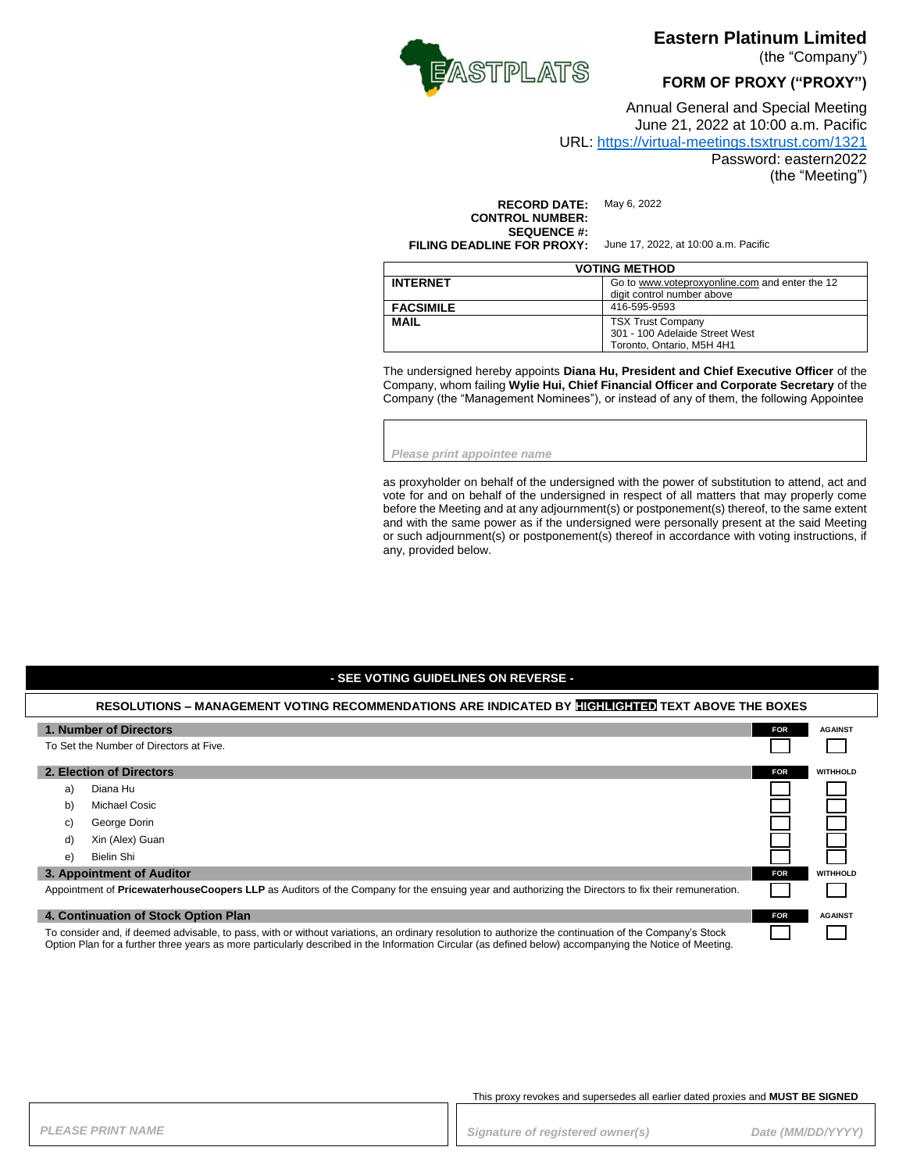

**Eastern Platinum Limited** 

(the "Company")

**FORM OF PROXY ("PROXY")**

Annual General and Special Meeting June 21, 2022 at 10:00 a.m. Pacific

#### URL:<https://virtual-meetings.tsxtrust.com/1321>

Password: eastern2022

(the "Meeting")

**RECORD DATE:** May 6, 2022 **CONTROL NUMBER: SEQUENCE #: FILING DEADLINE FOR PROXY:** June 17, 2022, at 10:00 a.m. Pacific

| <b>VOTING METHOD</b> |                                                                              |  |
|----------------------|------------------------------------------------------------------------------|--|
| <b>INTERNET</b>      | Go to www.voteproxyonline.com and enter the 12<br>digit control number above |  |
|                      |                                                                              |  |
| <b>FACSIMILE</b>     | 416-595-9593                                                                 |  |
| <b>MAIL</b>          | <b>TSX Trust Company</b>                                                     |  |
|                      | 301 - 100 Adelaide Street West                                               |  |
|                      | Toronto, Ontario, M5H 4H1                                                    |  |

The undersigned hereby appoints **Diana Hu, President and Chief Executive Officer** of the Company, whom failing **Wylie Hui, Chief Financial Officer and Corporate Secretary** of the Company (the "Management Nominees"), or instead of any of them, the following Appointee

*Please print appointee name*

as proxyholder on behalf of the undersigned with the power of substitution to attend, act and vote for and on behalf of the undersigned in respect of all matters that may properly come before the Meeting and at any adjournment(s) or postponement(s) thereof, to the same extent and with the same power as if the undersigned were personally present at the said Meeting or such adjournment(s) or postponement(s) thereof in accordance with voting instructions, if any, provided below.

#### **- SEE VOTING GUIDELINES ON REVERSE -**

| RESOLUTIONS – MANAGEMENT VOTING RECOMMENDATIONS ARE INDICATED BY FIGHTGHTED TEXT ABOVE THE BOXES                                                                                                                                                                                                                  |                 |            |                 |
|-------------------------------------------------------------------------------------------------------------------------------------------------------------------------------------------------------------------------------------------------------------------------------------------------------------------|-----------------|------------|-----------------|
| 1. Number of Directors                                                                                                                                                                                                                                                                                            |                 | <b>FOR</b> | <b>AGAINST</b>  |
| To Set the Number of Directors at Five.                                                                                                                                                                                                                                                                           |                 |            |                 |
| 2. Election of Directors                                                                                                                                                                                                                                                                                          |                 | <b>FOR</b> | <b>WITHHOLD</b> |
| a)                                                                                                                                                                                                                                                                                                                | Diana Hu        |            |                 |
| b)                                                                                                                                                                                                                                                                                                                | Michael Cosic   |            |                 |
| C)                                                                                                                                                                                                                                                                                                                | George Dorin    |            |                 |
| d)                                                                                                                                                                                                                                                                                                                | Xin (Alex) Guan |            |                 |
| e)                                                                                                                                                                                                                                                                                                                | Bielin Shi      |            |                 |
| 3. Appointment of Auditor                                                                                                                                                                                                                                                                                         |                 | <b>FOR</b> | <b>WITHHOLD</b> |
| Appointment of PricewaterhouseCoopers LLP as Auditors of the Company for the ensuing year and authorizing the Directors to fix their remuneration.                                                                                                                                                                |                 |            |                 |
|                                                                                                                                                                                                                                                                                                                   |                 |            |                 |
| 4. Continuation of Stock Option Plan                                                                                                                                                                                                                                                                              |                 | <b>FOR</b> | <b>AGAINST</b>  |
| To consider and, if deemed advisable, to pass, with or without variations, an ordinary resolution to authorize the continuation of the Company's Stock<br>Option Plan for a further three years as more particularly described in the Information Circular (as defined below) accompanying the Notice of Meeting. |                 |            |                 |

This proxy revokes and supersedes all earlier dated proxies and **MUST BE SIGNED**